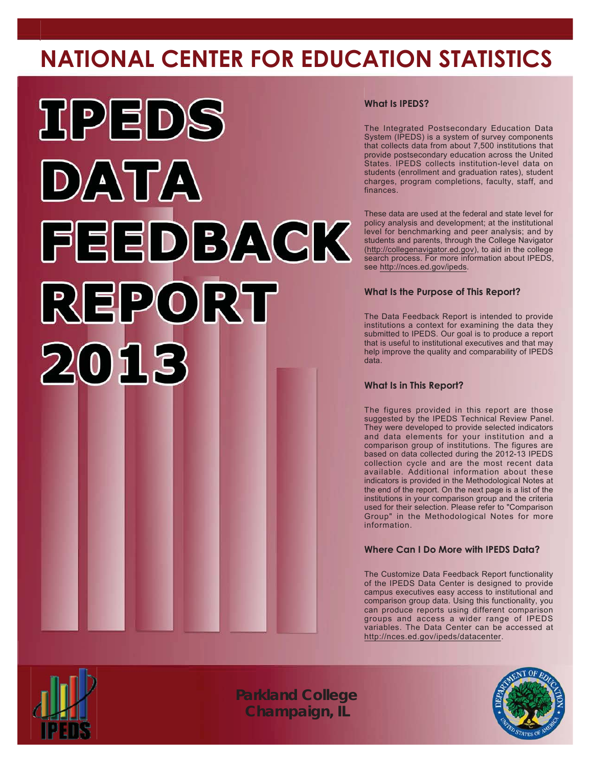## **NATIONAL CENTER FOR EDUCATION STATISTICS**



#### **What Is IPEDS?**

The Integrated Postsecondary Education Data System (IPEDS) is a system of survey components that collects data from about 7,500 institutions that provide postsecondary education across the United States. IPEDS collects institution-level data on students (enrollment and graduation rates), student charges, program completions, faculty, staff, and finances.

These data are used at the federal and state level for policy analysis and development; at the institutional level for benchmarking and peer analysis; and by students and parents, through the College Navigator (http://collegenavigator.ed.gov), to aid in the college search process. For more information about IPEDS, see http://nces.ed.gov/ipeds.

#### **What Is the Purpose of This Report?**

The Data Feedback Report is intended to provide institutions a context for examining the data they submitted to IPEDS. Our goal is to produce a report that is useful to institutional executives and that may help improve the quality and comparability of IPEDS data

#### **What Is in This Report?**

The figures provided in this report are those suggested by the IPEDS Technical Review Panel. They were developed to provide selected indicators and data elements for your institution and a comparison group of institutions. The figures are based on data collected during the 2012-13 IPEDS collection cycle and are the most recent data available. Additional information about these indicators is provided in the Methodological Notes at the end of the report. On the next page is a list of the institutions in your comparison group and the criteria used for their selection. Please refer to "Comparison Group" in the Methodological Notes for more information.

#### **Where Can I Do More with IPEDS Data?**

The Customize Data Feedback Report functionality of the IPEDS Data Center is designed to provide campus executives easy access to institutional and comparison group data. Using this functionality, you can produce reports using different comparison groups and access a wider range of IPEDS variables. The Data Center can be accessed at http://nces.ed.gov/ipeds/datacenter.



*Parkland College Champaign, IL*

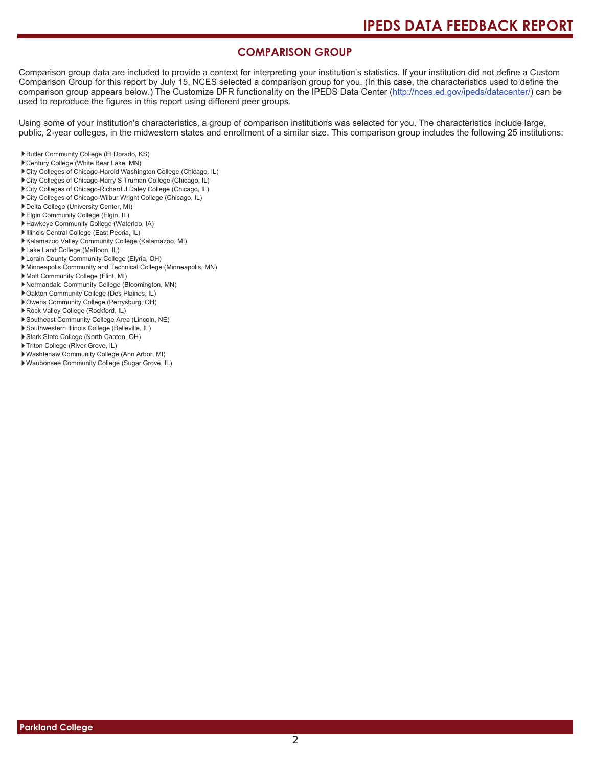#### **COMPARISON GROUP**

Comparison group data are included to provide a context for interpreting your institution's statistics. If your institution did not define a Custom Comparison Group for this report by July 15, NCES selected a comparison group for you. (In this case, the characteristics used to define the comparison group appears below.) The Customize DFR functionality on the IPEDS Data Center (http://nces.ed.gov/ipeds/datacenter/) can be used to reproduce the figures in this report using different peer groups.

Using some of your institution's characteristics, a group of comparison institutions was selected for you. The characteristics include large, public, 2-year colleges, in the midwestern states and enrollment of a similar size. This comparison group includes the following 25 institutions:

- Butler Community College (El Dorado, KS)
- Century College (White Bear Lake, MN)
- City Colleges of Chicago-Harold Washington College (Chicago, IL)
- to City Colleges of Chicago-Harry S Truman College (Chicago, IL)
- City Colleges of Chicago-Richard J Daley College (Chicago, IL)
- ▶ City Colleges of Chicago-Wilbur Wright College (Chicago, IL)
- Delta College (University Center, MI)
- Elgin Community College (Elgin, IL)
- Hawkeye Community College (Waterloo, IA)
- Illinois Central College (East Peoria, IL)
- Kalamazoo Valley Community College (Kalamazoo, MI)
- Lake Land College (Mattoon, IL)
- Lorain County Community College (Elyria, OH)
- Minneapolis Community and Technical College (Minneapolis, MN)
- Mott Community College (Flint, MI)
- Normandale Community College (Bloomington, MN)
- Dakton Community College (Des Plaines, IL)
- ▶ Owens Community College (Perrysburg, OH)
- Rock Valley College (Rockford, IL)
- Southeast Community College Area (Lincoln, NE)
- Southwestern Illinois College (Belleville, IL)
- 8 Stark State College (North Canton, OH)
- Triton College (River Grove, IL)
- Washtenaw Community College (Ann Arbor, MI)
- Waubonsee Community College (Sugar Grove, IL)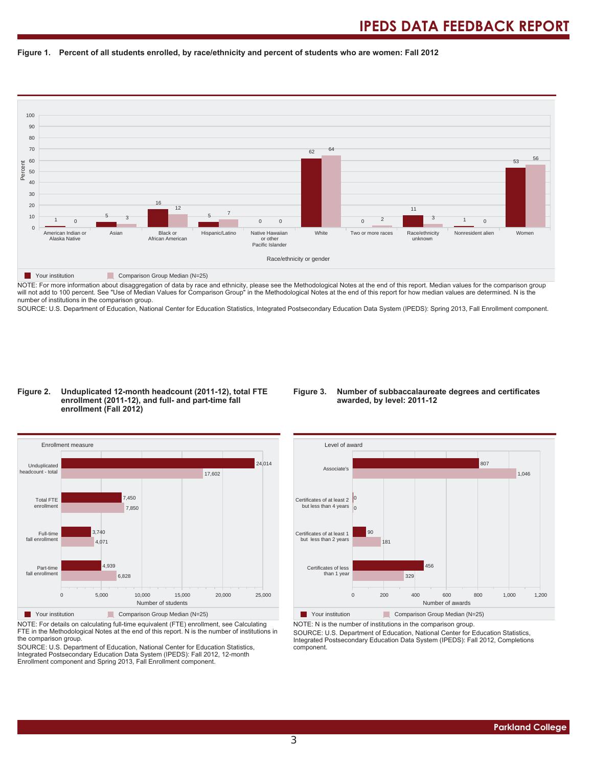#### Figure 1. Percent of all students enrolled, by race/ethnicity and percent of students who are women: Fall 2012



NOTE: For more information about disaggregation of data by race and ethnicity, please see the Methodological Notes at the end of this report. Median values for the comparison group will not add to 100 percent. See "Use of Median Values for Comparison Group" in the Methodological Notes at the end of this report for how median values are determined. N is the number of institutions in the comparison group.

SOURCE: U.S. Department of Education, National Center for Education Statistics, Integrated Postsecondary Education Data System (IPEDS): Spring 2013, Fall Enrollment component.

#### Figure 2. Unduplicated 12-month headcount (2011-12), total FTE enrollment (2011-12), and full- and part-time fall enrollment (Fall 2012)

#### Figure 3. Number of subbaccalaureate degrees and certificates awarded, by level: 2011-12



NOTE: For details on calculating full-time equivalent (FTE) enrollment, see Calculating FTE in the Methodological Notes at the end of this report. N is the number of institutions in the comparison group.

SOURCE: U.S. Department of Education, National Center for Education Statistics, Integrated Postsecondary Education Data System (IPEDS): Fall 2012, 12-month Enrollment component and Spring 2013, Fall Enrollment component.



NOTE: N is the number of institutions in the comparison group.

SOURCE: U.S. Department of Education, National Center for Education Statistics, Integrated Postsecondary Education Data System (IPEDS): Fall 2012, Completions component.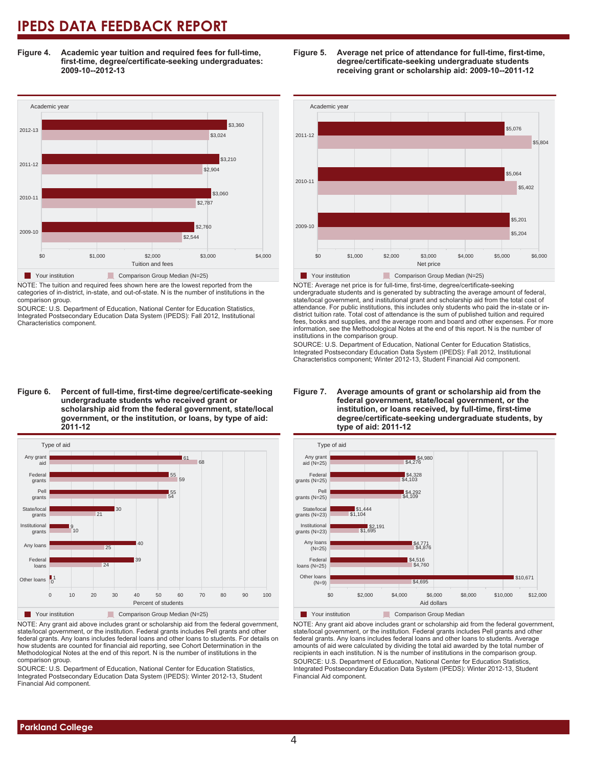Figure 4. Academic year tuition and required fees for full-time, first-time, degree/certificate-seeking undergraduates: 2009-10--2012-13



NOTE: The tuition and required fees shown here are the lowest reported from the categories of in-district, in-state, and out-of-state. N is the number of institutions in the comparison group.

SOURCE: U.S. Department of Education, National Center for Education Statistics, Integrated Postsecondary Education Data System (IPEDS): Fall 2012, Institutional Characteristics component.





NOTE: Any grant aid above includes grant or scholarship aid from the federal government, state/local government, or the institution. Federal grants includes Pell grants and other federal grants. Any loans includes federal loans and other loans to students. For details on how students are counted for financial aid reporting, see Cohort Determination in the Methodological Notes at the end of this report. N is the number of institutions in the comparison group.

SOURCE: U.S. Department of Education, National Center for Education Statistics, Integrated Postsecondary Education Data System (IPEDS): Winter 2012-13, Student Financial Aid component.





NOTE: Average net price is for full-time, first-time, degree/certificate-seeking undergraduate students and is generated by subtracting the average amount of federal, state/local government, and institutional grant and scholarship aid from the total cost of attendance. For public institutions, this includes only students who paid the in-state or indistrict tuition rate. Total cost of attendance is the sum of published tuition and required fees, books and supplies, and the average room and board and other expenses. For more information, see the Methodological Notes at the end of this report. N is the number of institutions in the comparison group.

SOURCE: U.S. Department of Education. National Center for Education Statistics Integrated Postsecondary Education Data System (IPEDS): Fall 2012, Institutional Characteristics component; Winter 2012-13, Student Financial Aid component.





NOTE: Any grant aid above includes grant or scholarship aid from the federal government, state/local government, or the institution. Federal grants includes Pell grants and other federal grants. Any loans includes federal loans and other loans to students. Average amounts of aid were calculated by dividing the total aid awarded by the total number of recipients in each institution. N is the number of institutions in the comparison group SOURCE: U.S. Department of Education, National Center for Education Statistics, Integrated Postsecondary Education Data System (IPEDS): Winter 2012-13, Student Financial Aid component.

# Figure 6. Percent of full-time, first-time degree/certificate-seeking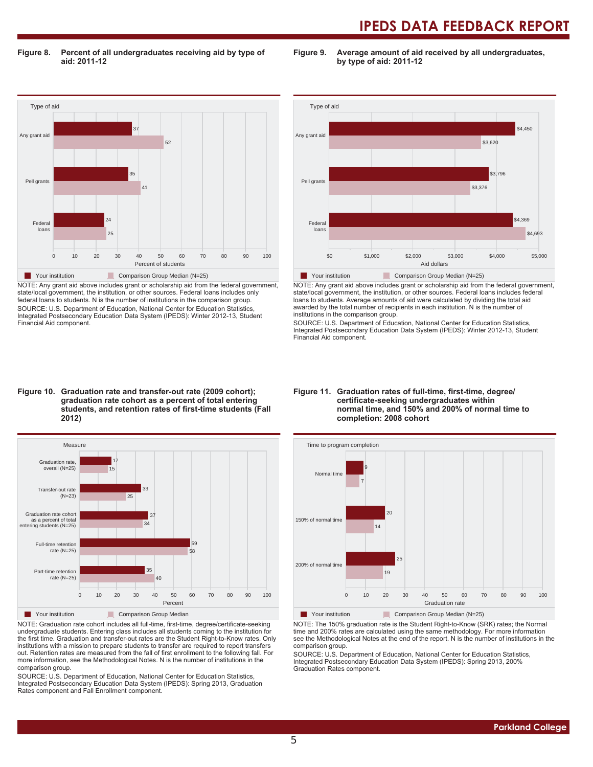Figure 8. Percent of all undergraduates receiving aid by type of aid: 2011-12

Figure 9. Average amount of aid received by all undergraduates, by type of aid: 2011-12



NOTE: Any grant aid above includes grant or scholarship aid from the federal government, state/local government, the institution, or other sources. Federal loans includes only federal loans to students. N is the number of institutions in the comparison group. SOURCE: U.S. Department of Education, National Center for Education Statistics, Integrated Postsecondary Education Data System (IPEDS): Winter 2012-13, Student Financial Aid component.



NOTE: Any grant aid above includes grant or scholarship aid from the federal government, state/local government, the institution, or other sources. Federal loans includes federal<br>loans to students. Average amounts of aid were calculated by dividing the total aid awarded by the total number of recipients in each institution. N is the number of institutions in the comparison group.

SOURCE: U.S. Department of Education, National Center for Education Statistics Integrated Postsecondary Education Data System (IPEDS): Winter 2012-13, Student Financial Aid component.

#### Figure 10. Graduation rate and transfer-out rate (2009 cohort); graduation rate cohort as a percent of total entering students, and retention rates of first-time students (Fall



NOTE: Graduation rate cohort includes all full-time, first-time, degree/certificate-seeking undergraduate students. Entering class includes all students coming to the institution for the first time. Graduation and transfer-out rates are the Student Right-to-Know rates. Only institutions with a mission to prepare students to transfer are required to report transfers out Retention rates are measured from the fall of first enrollment to the following fall. For PRU HURRUPD PRUGHALANCE PRUGHALANCE PRUGHURING IN THE PRUGHURIDON IN A THE MODE IN THE MODE IN THE MODE IS A THE PURILDING IN THE MODE IS A THE MODE IN THE MODE IS A THE PLACE IN THE MULLON SUMMER IN THE MODE IS A THE MULL comparison group.

SOURCE: U.S. Department of Education, National Center for Education Statistics, Integrated Postsecondary Education Data System (IPEDS): Spring 2013, Graduation minghamed Controlling Databased Data Bystam<br>Rates component and Fall Enrollment component.

#### Figure 11. Graduation rates of full-time, first-time, degree/ certificate-seeking undergraduates within normal time, and 150% and 200% of normal time to completion: 2008 cohort



Your institution Comparison Group Median (N=25)

NOTE: The 150% graduation rate is the Student Right-to-Know (SRK) rates; the Normal time and 200% rates are calculated using the same methodology. For more information see the Methodological Notes at the end of the report. N is the number of institutions in the comparison group.

SOURCE: U.S. Department of Education, National Center for Education Statistics, Integrated Postsecondary Education Data System (IPEDS): Spring 2013, 200% Graduation Rates component.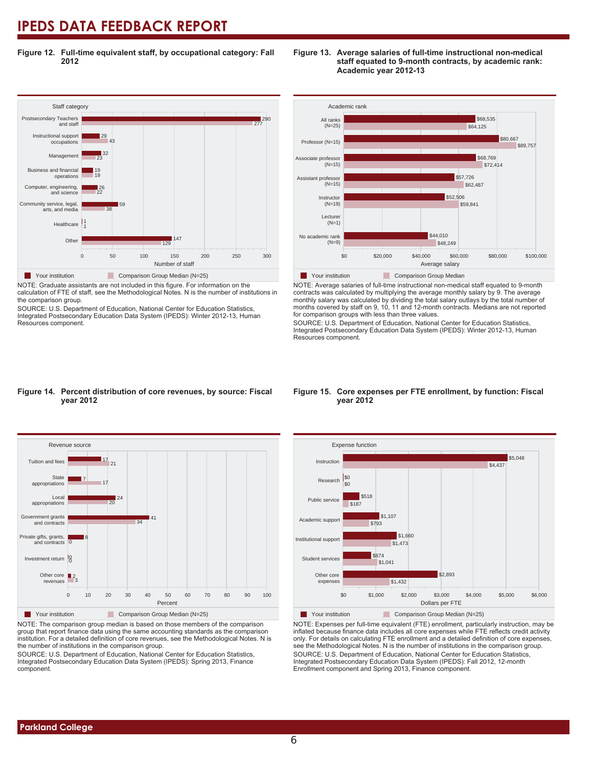Figure 12. Full-time equivalent staff, by occupational category: Fall 2012



NOTE: Graduate assistants are not included in this figure. For information on the calculation of FTE of staff, see the Methodological Notes. N is the number of institutions in the comparison group.

SOURCE: U.S. Department of Education, National Center for Education Statistics, Integrated Postsecondary Education Data System (IPEDS): Winter 2012-13, Human Resources component.



NOTE: Average salaries of full-time instructional non-medical staff equated to 9-month contracts was calculated by multiplying the average monthly salary by 9. The average monthly salary was calculated by dividing the total salary outlays by the total number of months covered by staff on 9, 10, 11 and 12-month contracts. Medians are not reported for comparison groups with less than three values.

SOURCE: U.S. Department of Education, National Center for Education Statistics Integrated Postsecondary Education Data System (IPEDS): Winter 2012-13, Human Resources component.

#### Figure 14. Percent distribution of core revenues, by source: Fiscal **year 2012**



NOTE: The comparison group median is based on those members of the comparison group that report finance data using the same accounting standards as the comparison institution. For a detailed definition of core revenues, see the Methodological Notes. N is the number of institutions in the comparison group.

SOURCE: U.S. Department of Education, National Center for Education Statistics, Integrated Postsecondary Education Data System (IPEDS): Spring 2013, Finance component.

#### Figure 15. Core expenses per FTE enrollment, by function: Fiscal **year 2012**



NOTE: Expenses per full-time equivalent (FTE) enrollment, particularly instruction, may be inflated because finance data includes all core expenses while FTE reflects credit activity only. For details on calculating FTE enrollment and a detailed definition of core expenses, see the Methodological Notes. N is the number of institutions in the comparison group. SOURCE: U.S. Department of Education, National Center for Education Statistics, Integrated Postsecondary Education Data System (IPEDS): Fall 2012, 12-month Enrollment component and Spring 2013, Finance component.

#### Figure 13. Average salaries of full-time instructional non-medical staff equated to 9-month contracts, by academic rank: **Academic year 2012-13**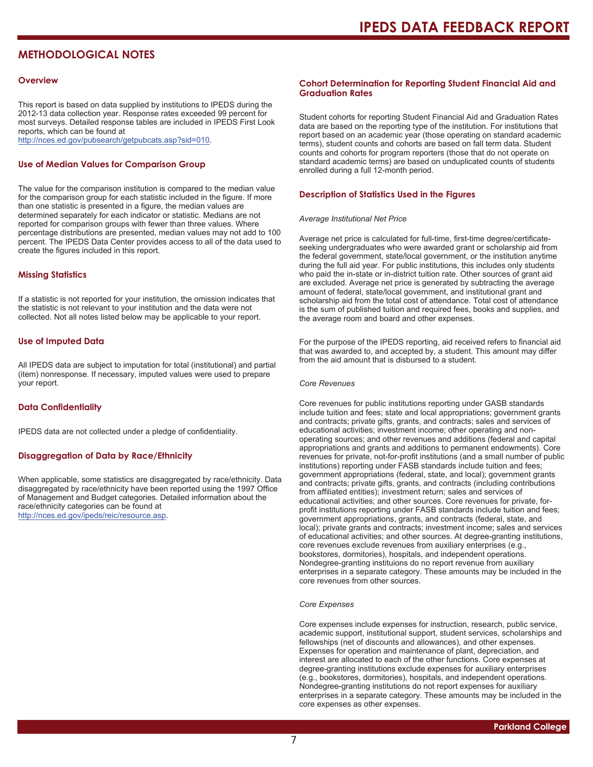#### **METHODOLOGICAL NOTES**

#### **Overview**

This report is based on data supplied by institutions to IPEDS during the 2012-13 data collection year. Response rates exceeded 99 percent for most surveys. Detailed response tables are included in IPEDS First Look reports, which can be found at http://nces.ed.gov/pubsearch/getpubcats.asp?sid=010.

#### **Use of Median Values for Comparison Group**

The value for the comparison institution is compared to the median value for the comparison group for each statistic included in the figure. If more than one statistic is presented in a figure, the median values are determined separately for each indicator or statistic. Medians are not reported for comparison groups with fewer than three values. Where percentage distributions are presented, median values may not add to 100 percent. The IPEDS Data Center provides access to all of the data used to create the figures included in this report.

#### **Missing Statistics**

If a statistic is not reported for your institution, the omission indicates that the statistic is not relevant to your institution and the data were not collected. Not all notes listed below may be applicable to your report.

#### **Use of Imputed Data**

All IPEDS data are subject to imputation for total (institutional) and partial (item) nonresponse. If necessary, imputed values were used to prepare your report.

#### **Data Confidentiality**

IPEDS data are not collected under a pledge of confidentiality.

#### **Disaggregation of Data by Race/Ethnicity**

When applicable, some statistics are disaggregated by race/ethnicity. Data disaggregated by race/ethnicity have been reported using the 1997 Office of Management and Budget categories. Detailed information about the race/ethnicity categories can be found at http://nces.ed.gov/ipeds/reic/resource.asp.

#### **Cohort Determination for Reporting Student Financial Aid and Graduation Rates**

Student cohorts for reporting Student Financial Aid and Graduation Rates data are based on the reporting type of the institution. For institutions that report based on an academic year (those operating on standard academic terms), student counts and cohorts are based on fall term data. Student counts and cohorts for program reporters (those that do not operate on standard academic terms) are based on unduplicated counts of students enrolled during a full 12-month period.

#### **Description of Statistics Used in the Figures**

#### **Average Institutional Net Price**

Average net price is calculated for full-time, first-time degree/certificateseeking undergraduates who were awarded grant or scholarship aid from the federal government, state/local government, or the institution anytime during the full aid year. For public institutions, this includes only students who paid the in-state or in-district tuition rate. Other sources of grant aid are excluded. Average net price is generated by subtracting the average amount of federal, state/local government, and institutional grant and scholarship aid from the total cost of attendance. Total cost of attendance is the sum of published tuition and required fees, books and supplies, and the average room and board and other expenses.

For the purpose of the IPEDS reporting, aid received refers to financial aid that was awarded to, and accepted by, a student. This amount may differ from the aid amount that is dishursed to a student

#### **Core Revenues**

Core revenues for public institutions reporting under GASB standards include tuition and fees; state and local appropriations; government grants and contracts; private gifts, grants, and contracts; sales and services of educational activities; investment income; other operating and nonoperating sources; and other revenues and additions (federal and capital appropriations and grants and additions to permanent endowments). Core revenues for private, not-for-profit institutions (and a small number of public institutions) reporting under FASB standards include tuition and fees: government appropriations (federal, state, and local); government grants and contracts; private gifts, grants, and contracts (including contributions from affiliated entities); investment return; sales and services of educational activities; and other sources. Core revenues for private, forprofit institutions reporting under FASB standards include tuition and fees; government appropriations, grants, and contracts (federal, state, and local); private grants and contracts; investment income; sales and services of educational activities; and other sources. At degree-granting institutions, core revenues exclude revenues from auxiliary enterprises (e.g., bookstores, dormitories), hospitals, and independent operations. Nondegree-granting instituions do no report revenue from auxiliary enterprises in a separate category. These amounts may be included in the core revenues from other sources.

#### Core Expenses

Core expenses include expenses for instruction, research, public service, academic support, institutional support, student services, scholarships and fellowships (net of discounts and allowances), and other expenses. Expenses for operation and maintenance of plant, depreciation, and interest are allocated to each of the other functions. Core expenses at degree-granting institutions exclude expenses for auxiliary enterprises (e.g., bookstores, dormitories), hospitals, and independent operations. Nondegree-granting institutions do not report expenses for auxiliary enterprises in a separate category. These amounts may be included in the core expenses as other expenses.